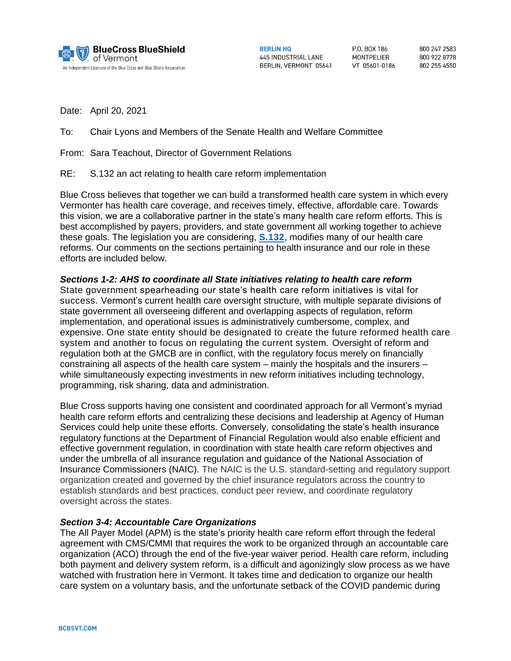

**RERLIN HO 445 INDUSTRIAL LANE** BERLIN, VERMONT 05641

**PO BOX 186** MONTPELIER VT 05601-0186 800 247 2583 800 922 8778 802 255 4550

Date: April 20, 2021

To: Chair Lyons and Members of the Senate Health and Welfare Committee

From: Sara Teachout, Director of Government Relations

RE: S.132 an act relating to health care reform implementation

Blue Cross believes that together we can build a transformed health care system in which every Vermonter has health care coverage, and receives timely, effective, affordable care. Towards this vision, we are a collaborative partner in the state's many health care reform efforts. This is best accomplished by payers, providers, and state government all working together to achieve these goals. The legislation you are considering, **[S.132](https://legislature.vermont.gov/Documents/2022/Docs/BILLS/S-0132/S-0132%20As%20Introduced.pdf)**, modifies many of our health care reforms. Our comments on the sections pertaining to health insurance and our role in these efforts are included below.

### *Sections 1-2: AHS to coordinate all State initiatives relating to health care reform*

State government spearheading our state's health care reform initiatives is vital for success. Vermont's current health care oversight structure, with multiple separate divisions of state government all overseeing different and overlapping aspects of regulation, reform implementation, and operational issues is administratively cumbersome, complex, and expensive. One state entity should be designated to create the future reformed health care system and another to focus on regulating the current system. Oversight of reform and regulation both at the GMCB are in conflict, with the regulatory focus merely on financially constraining all aspects of the health care system – mainly the hospitals and the insurers – while simultaneously expecting investments in new reform initiatives including technology, programming, risk sharing, data and administration.

Blue Cross supports having one consistent and coordinated approach for all Vermont's myriad health care reform efforts and centralizing these decisions and leadership at Agency of Human Services could help unite these efforts. Conversely, consolidating the state's health insurance regulatory functions at the Department of Financial Regulation would also enable efficient and effective government regulation, in coordination with state health care reform objectives and under the umbrella of all insurance regulation and guidance of the National Association of Insurance Commissioners (NAIC). The NAIC is the U.S. standard-setting and regulatory support organization created and governed by the chief insurance regulators across the country to establish standards and best practices, conduct peer review, and coordinate regulatory oversight across the states.

### *Section 3-4: Accountable Care Organizations*

The All Payer Model (APM) is the state's priority health care reform effort through the federal agreement with CMS/CMMI that requires the work to be organized through an accountable care organization (ACO) through the end of the five-year waiver period. Health care reform, including both payment and delivery system reform, is a difficult and agonizingly slow process as we have watched with frustration here in Vermont. It takes time and dedication to organize our health care system on a voluntary basis, and the unfortunate setback of the COVID pandemic during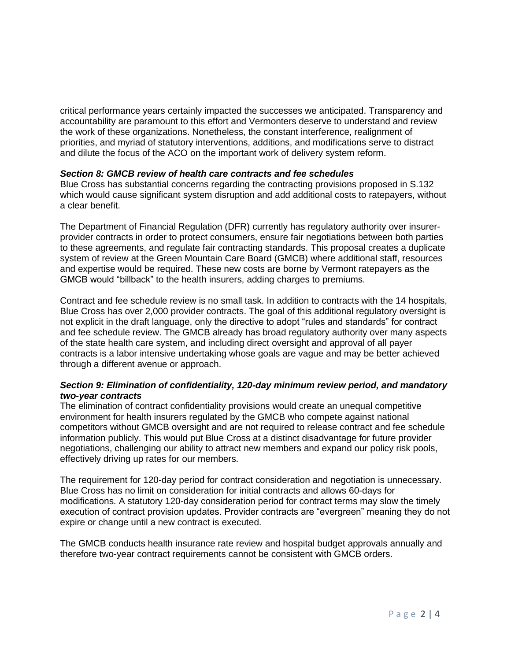critical performance years certainly impacted the successes we anticipated. Transparency and accountability are paramount to this effort and Vermonters deserve to understand and review the work of these organizations. Nonetheless, the constant interference, realignment of priorities, and myriad of statutory interventions, additions, and modifications serve to distract and dilute the focus of the ACO on the important work of delivery system reform.

### *Section 8: GMCB review of health care contracts and fee schedules*

Blue Cross has substantial concerns regarding the contracting provisions proposed in S.132 which would cause significant system disruption and add additional costs to ratepayers, without a clear benefit.

The Department of Financial Regulation (DFR) currently has regulatory authority over insurerprovider contracts in order to protect consumers, ensure fair negotiations between both parties to these agreements, and regulate fair contracting standards. This proposal creates a duplicate system of review at the Green Mountain Care Board (GMCB) where additional staff, resources and expertise would be required. These new costs are borne by Vermont ratepayers as the GMCB would "billback" to the health insurers, adding charges to premiums.

Contract and fee schedule review is no small task. In addition to contracts with the 14 hospitals, Blue Cross has over 2,000 provider contracts. The goal of this additional regulatory oversight is not explicit in the draft language, only the directive to adopt "rules and standards" for contract and fee schedule review. The GMCB already has broad regulatory authority over many aspects of the state health care system, and including direct oversight and approval of all payer contracts is a labor intensive undertaking whose goals are vague and may be better achieved through a different avenue or approach.

### *Section 9: Elimination of confidentiality, 120-day minimum review period, and mandatory two-year contracts*

The elimination of contract confidentiality provisions would create an unequal competitive environment for health insurers regulated by the GMCB who compete against national competitors without GMCB oversight and are not required to release contract and fee schedule information publicly. This would put Blue Cross at a distinct disadvantage for future provider negotiations, challenging our ability to attract new members and expand our policy risk pools, effectively driving up rates for our members.

The requirement for 120-day period for contract consideration and negotiation is unnecessary. Blue Cross has no limit on consideration for initial contracts and allows 60-days for modifications. A statutory 120-day consideration period for contract terms may slow the timely execution of contract provision updates. Provider contracts are "evergreen" meaning they do not expire or change until a new contract is executed.

The GMCB conducts health insurance rate review and hospital budget approvals annually and therefore two-year contract requirements cannot be consistent with GMCB orders.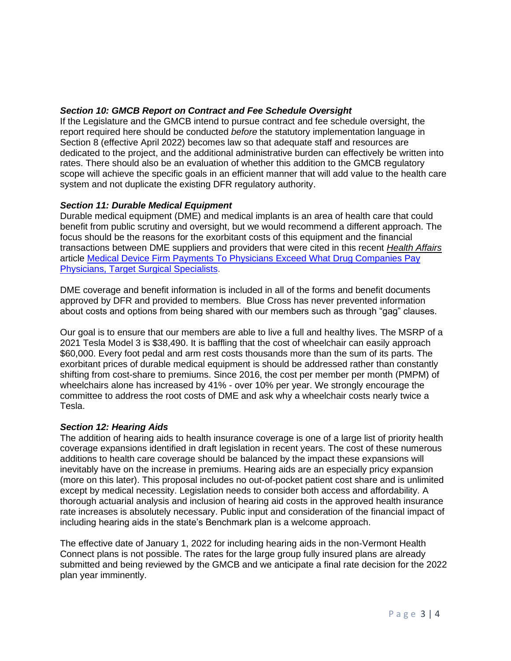# *Section 10: GMCB Report on Contract and Fee Schedule Oversight*

If the Legislature and the GMCB intend to pursue contract and fee schedule oversight, the report required here should be conducted *before* the statutory implementation language in Section 8 (effective April 2022) becomes law so that adequate staff and resources are dedicated to the project, and the additional administrative burden can effectively be written into rates. There should also be an evaluation of whether this addition to the GMCB regulatory scope will achieve the specific goals in an efficient manner that will add value to the health care system and not duplicate the existing DFR regulatory authority.

# *Section 11: Durable Medical Equipment*

Durable medical equipment (DME) and medical implants is an area of health care that could benefit from public scrutiny and oversight, but we would recommend a different approach. The focus should be the reasons for the exorbitant costs of this equipment and the financial transactions between DME suppliers and providers that were cited in this recent *Health Affairs* article [Medical Device Firm Payments To Physicians Exceed What Drug Companies Pay](https://www.healthaffairs.org/doi/full/10.1377/hlthaff.2020.01785)  [Physicians, Target Surgical Specialists.](https://www.healthaffairs.org/doi/full/10.1377/hlthaff.2020.01785)

DME coverage and benefit information is included in all of the forms and benefit documents approved by DFR and provided to members. Blue Cross has never prevented information about costs and options from being shared with our members such as through "gag" clauses.

Our goal is to ensure that our members are able to live a full and healthy lives. The MSRP of a 2021 Tesla Model 3 is \$38,490. It is baffling that the cost of wheelchair can easily approach \$60,000. Every foot pedal and arm rest costs thousands more than the sum of its parts. The exorbitant prices of durable medical equipment is should be addressed rather than constantly shifting from cost-share to premiums. Since 2016, the cost per member per month (PMPM) of wheelchairs alone has increased by 41% - over 10% per year. We strongly encourage the committee to address the root costs of DME and ask why a wheelchair costs nearly twice a Tesla.

# *Section 12: Hearing Aids*

The addition of hearing aids to health insurance coverage is one of a large list of priority health coverage expansions identified in draft legislation in recent years. The cost of these numerous additions to health care coverage should be balanced by the impact these expansions will inevitably have on the increase in premiums. Hearing aids are an especially pricy expansion (more on this later). This proposal includes no out-of-pocket patient cost share and is unlimited except by medical necessity. Legislation needs to consider both access and affordability. A thorough actuarial analysis and inclusion of hearing aid costs in the approved health insurance rate increases is absolutely necessary. Public input and consideration of the financial impact of including hearing aids in the state's Benchmark plan is a welcome approach.

The effective date of January 1, 2022 for including hearing aids in the non-Vermont Health Connect plans is not possible. The rates for the large group fully insured plans are already submitted and being reviewed by the GMCB and we anticipate a final rate decision for the 2022 plan year imminently.